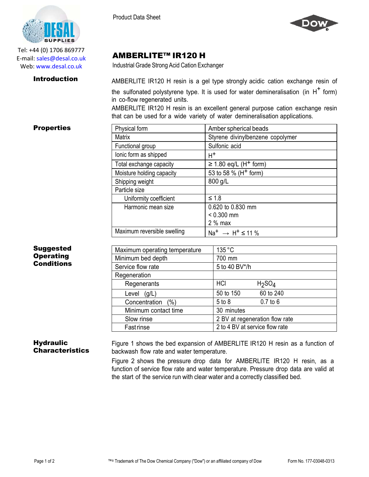



AMBERLITE™ IR120 H

Industrial Grade Strong Acid Cation Exchanger



Tel: +44 (0) 1706 869777 E‐mail: sales@desal.co.uk Web: www.desal.co.uk

**Introduction** AMBERLITE IR120 H resin is a gel type strongly acidic cation exchange resin of the sulfonated polystyrene type. It is used for water demineralisation (in  $H^+$  form) in co-flow regenerated units.

> AMBERLITE IR120 H resin is an excellent general purpose cation exchange resin that can be used for a wide variety of water demineralisation applications.

Matrix **Matrix** Styrene divinylbenzene copolymer

# **Properties** Physical form Amber spherical beads

| Suggested        |
|------------------|
| <b>Operating</b> |
| Conditions       |

| Functional group            | Sulfonic acid                                            |
|-----------------------------|----------------------------------------------------------|
| lonic form as shipped       | $H^+$                                                    |
| Total exchange capacity     | $\geq$ 1.80 eq/L (H <sup>+</sup> form)                   |
| Moisture holding capacity   | 53 to 58 % (H <sup>+</sup> form)                         |
| Shipping weight             | 800 g/L                                                  |
| Particle size               |                                                          |
| Uniformity coefficient      | $\leq 1.8$                                               |
| Harmonic mean size          | 0.620 to 0.830 mm                                        |
|                             | $< 0.300$ mm                                             |
|                             | $2%$ max                                                 |
| Maximum reversible swelling | Na <sup>+</sup> $\rightarrow$ H <sup>+</sup> $\leq$ 11 % |
|                             |                                                          |
|                             |                                                          |

| Maximum operating temperature | 135 °C                         |                                |
|-------------------------------|--------------------------------|--------------------------------|
| Minimum bed depth             | 700 mm                         |                                |
| Service flow rate             | 5 to 40 BV*/h                  |                                |
| Regeneration                  |                                |                                |
| Regenerants                   | HCI                            | H <sub>2</sub> SO <sub>4</sub> |
| Level<br>(g/L)                | 50 to 150                      | 60 to 240                      |
| Concentration<br>$\%$         | 5 to 8                         | $0.7$ to $6$                   |
| Minimum contact time          | 30 minutes                     |                                |
| Slow rinse                    | 2 BV at regeneration flow rate |                                |
| Fastrinse                     | 2 to 4 BV at service flow rate |                                |

# **Hydraulic Characteristics**

Figure 1 shows the bed expansion of AMBERLITE IR120 H resin as a function of backwash flow rate and water temperature.

Figure 2 shows the pressure drop data for AMBERLITE IR120 H resin, as a function of service flow rate and water temperature. Pressure drop data are valid at the start of the service run with clear water and a correctly classified bed.